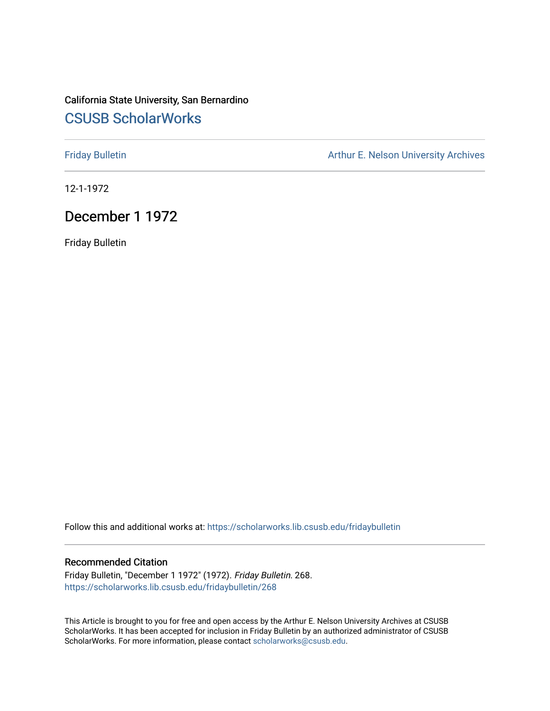# California State University, San Bernardino [CSUSB ScholarWorks](https://scholarworks.lib.csusb.edu/)

[Friday Bulletin](https://scholarworks.lib.csusb.edu/fridaybulletin) **Arthur E. Nelson University Archives** Arthur E. Nelson University Archives

12-1-1972

## December 1 1972

Friday Bulletin

Follow this and additional works at: [https://scholarworks.lib.csusb.edu/fridaybulletin](https://scholarworks.lib.csusb.edu/fridaybulletin?utm_source=scholarworks.lib.csusb.edu%2Ffridaybulletin%2F268&utm_medium=PDF&utm_campaign=PDFCoverPages)

### Recommended Citation

Friday Bulletin, "December 1 1972" (1972). Friday Bulletin. 268. [https://scholarworks.lib.csusb.edu/fridaybulletin/268](https://scholarworks.lib.csusb.edu/fridaybulletin/268?utm_source=scholarworks.lib.csusb.edu%2Ffridaybulletin%2F268&utm_medium=PDF&utm_campaign=PDFCoverPages)

This Article is brought to you for free and open access by the Arthur E. Nelson University Archives at CSUSB ScholarWorks. It has been accepted for inclusion in Friday Bulletin by an authorized administrator of CSUSB ScholarWorks. For more information, please contact [scholarworks@csusb.edu.](mailto:scholarworks@csusb.edu)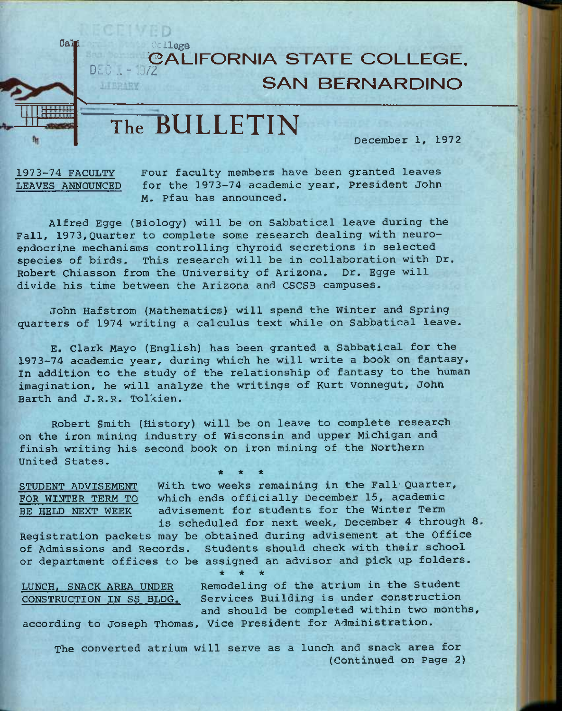### **" CALIFORNIA STATE COLLEGE. D**<sub>E</sub>U .. - 1972 **SAN BERNARDINO**

# $The$  **BULLETIN**

**December 1, 1972** 

**V** 

Cali College

**1973-74 FACULTY Four faculty members have been granted leaves LEAVES ANNOUNCED for the 1973-74 academic year. President John M. Pfau has announced.** 

**Alfred Egge (Biology) will be on Sabbatical leave during the Fall, 1973,Quarter to complete some research dealing with neuroendocrine mechanisms controlling thyroid secretions in selected species of birds. This research will be in collaboration with Dr. Robert Chiasson from the University of Arizona. Dr. Egge will divide his time between the Arizona and CSCSB campuses.** 

**John Hafstrom (Mathematics) will spend the Winter and Spring quarters of 1974 writing a calculus text while on Sabbatical leave.** 

**E. Clark Mayo (English) has been granted a Sabbatical for the 1973-74 academic year, during which he will write a book on fantasy. In addition to the study of the relationship of fantasy to the human imagination, he will analyze the writings of Kurt Vonnegut, John Barth and J.R.R. Tolkien.** 

**Robert Smith (History) will be on leave to complete research on the iron mining industry of Wisconsin and upper Michigan and finish writing his second book on iron mining of the Northern United States,** 

**\* \* \*** 

**STUDENT ADVISEMENT With two weeks remaining in the Fall- Quarter, FOR WINTER TERM TO which ends officially December 15, academic BE HELD NEXT WEEK advisement for students for the Winter Term is scheduled for next week, December 4 through 8,** 

**Registration packets may be obtained during advisement at the Office of Admissions and Records. Students should check with their school or department offices to be assigned an advisor and pick up folders.** 

*ie \* -k*  **LUNCH, SNACK AREA UNDER Remodeling of the atrium in the Student** 

**CONSTRUCTION IN SS BLDG. Services Building is under construction and should be completed within two months, according to Joseph Thomas, Vice President for Administration.** 

**The converted atrium will serve as a lunch and snack area for (Continued on Page 2)**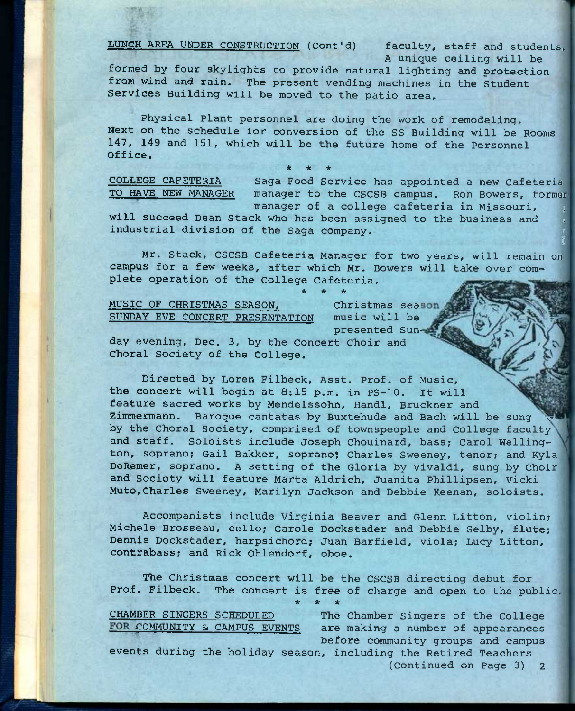**LUNCH AREA UNDER CONSTRUCTION (Cont'd) faculty, staff and students.** 

**A unique ceiling will be** 

**formed by four skylights to provide natural lighting and protection from wind and rain. The present vending machines in the Student Services Building will be moved to the patio area.** 

**Physical Plant personnel are doing the work of remodeling. Next on the schedule for conversion of the SS Building will be Rooms 147, 149 and 151, which will be the future home of the Personnel Office.**  *ie \* \** 

**COLLEGE CAFETERIA**  TO HAVE NEW MANAGER

**Saga Food Service has appointed a new Cafeteria manager to the CSCSB campus. Ron Bowers, former manager of a college cafeteria in Missouri, ;** 

**will succeed Dean Stack who has been assigned to the business and =**  industrial division of the Saga company.

**\* \* \*** 

**Mr. Stack, CSCSB Cafeteria Manager for two years, will remain on campus for a few weeks, after which Mr. Bowers will take over complete operation of the College Cafeteria.** 

**MUSIC OF CHRISTMAS SEASON, Christmas season SUNDAY EVE CONCERT PRESENTATION music will be** 

**presented Sun-**

**day evening, Dec, 3, by the Concert Choir and Choral Society of the College.** 

**Directed by Loren Filbeck, Asst. Prof, of Music, the concert will begin at 8:15 p.m. in PS-10. It will feature sacred works by Mendelssohn, Handl, Bruckner and**  Zimmermann. Baroque cantatas by Buxtehude and Bach will be sung **by the Choral Society, comprised of townspeople and College faculty**  and staff. Soloists include Joseph Chouinard, bass; Carol Welling**ton, soprano? Gail Bakker, soprano? Charles Sweeney, tenor? and Kyla DeRemer, soprano. A setting of the Gloria by Vivaldi, sung by Choir and Society will feature Marta Aldrich, Juanita Phillipsen, Vicki Muto,Charles Sweeney, Marilyn Jackson and Debbie Keenan, soloists.** 

**Accompanists include Virginia Beaver and Glenn Litton, violin? Michele Brosseau, cello? Carole Dockstader and Debbie Selby, flute? Dennis Dockstader, harpsichord; Juan Barfield, viola; Lucy Litton, contrabass? and Rick Ohlendorf, oboe.** 

**The Christmas concert will be the CSCSB directing debut for Prof. Filbeck. The concert is free of charge and open to the public.** 

**\* \* \*** 

**CHAMBER SINGERS SCHEDULED The Chamber Singers of the College**  FOR COMMUNITY & CAMPUS EVENTS are making a number of appearances **before community groups and campus** 

**events during the holiday season, including the Retired Teachers (Continued on Page 3) 2**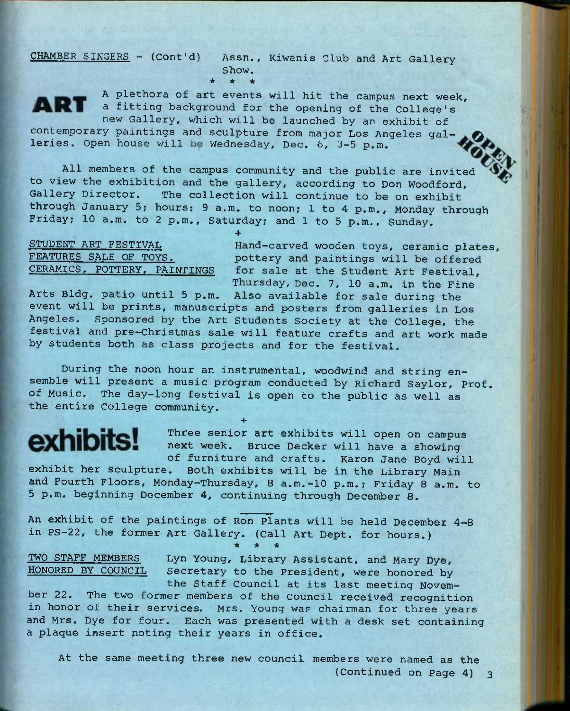**CHAMBER SINGERS - (Cont'd) Assn., Kiwanis Club and Art Gallery Show.**  *•k \* \** 



**A plethora of art events will hit the campus next week, a fitting background for the opening of the College's new Gallery, which will be launched by an exhibit of** 

contemporary paintings and sculpture from major Los Angeles galleries. Open house will be Wednesday, Dec. 6, 3-5 p.m.

**+** 

**All members of the campus community and the public are invited to view the exhibition and the gallery, according to Don Woodford,**  The collection will continue to be on exhibit **through January 5; hours; 9 a.m. to noon; 1 to 4 p.m., Monday through Friday; 10 a.m. to 2 p.m., Saturday; and 1 to 5 p.m., Sunday.** 

**STUDENT ART FESTIVAL Hand—carved wooden toys, ceramic plates FEATURES SALE OF TOYS. pottery and paintings will be offered**  for sale at the Student Art Festival, **Thursday, Dec, 7, 10 a.m. in the Fine** 

**Arts Bldg. patio until 5 p.m. Also available for sale during the event will be prints, manuscripts and posters from galleries in Los Angeles. Sponsored by the Art Students Society at the College, the festival and pre-Christmas sale will feature crafts and art work made by students both as class projects and for the festival.** 

**During the noon hour an instrumental, woodwind and string ensemble will present a music program conducted by Richard Saylor, Prof, of Music. The day-long festival is open to the public as well as the entire College community.** 

**+** 

# exhibits!

**Three senior art exhibits will open on campus next week. Bruce Decker will have a showing of furniture and crafts. Karon Jane Boyd will** 

**exhibit her sculpture. Both exhibits will be in the Library Main and Fourth Floors, Monday-Thursday, 8 a.m.-10 p.m.; Friday 8 a.m. to 5 p.m. beginning December 4, continuing through December 8.** 

**An exhibit of the paintings of Ron Plants will be held December 4-8 in PS-22, the former Art Gallery. (Call Art Dept. for hours.) \* \* \*** 

**TWO STAFF MEMBERS Lyn Young, Library Assistant, and Mary Dye,**  Secretary to the President, were honored by

**the Staff Council at its last meeting November 22. The two former members of the Council received recognition in honor of their services. Mrs. Young was chairman for three years and Mrs. Dye for four. Each was presented with a desk set containing a plaque insert noting their years in office.** 

**At the same meeting three new council members were named as the (Continued on Page 4)** 3